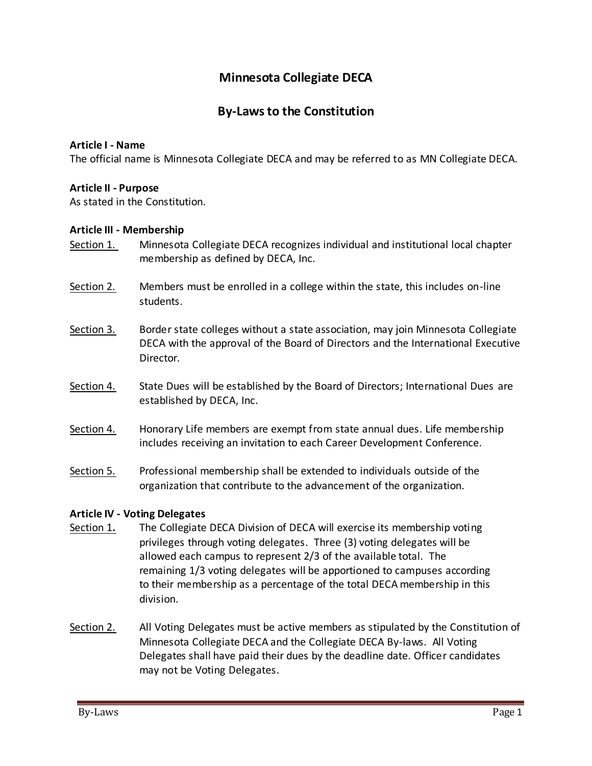# **Minnesota Collegiate DECA**

# **By-Laws to the Constitution**

#### **Article I - Name**

The official name is Minnesota Collegiate DECA and may be referred to as MN Collegiate DECA.

#### **Article II - Purpose**

As stated in the Constitution.

#### **Article III - Membership**

- Section 1. Minnesota Collegiate DECA recognizes individual and institutional local chapter membership as defined by DECA, Inc.
- Section 2. Members must be enrolled in a college within the state, this includes on-line students.
- Section 3. Border state colleges without a state association, may join Minnesota Collegiate DECA with the approval of the Board of Directors and the International Executive Director.
- Section 4. State Dues will be established by the Board of Directors; International Dues are established by DECA, Inc.
- Section 4. Honorary Life members are exempt from state annual dues. Life membership includes receiving an invitation to each Career Development Conference.
- Section 5. Professional membership shall be extended to individuals outside of the organization that contribute to the advancement of the organization.

## **Article IV - Voting Delegates**

- Section 1**.** The Collegiate DECA Division of DECA will exercise its membership voting privileges through voting delegates. Three (3) voting delegates will be allowed each campus to represent 2/3 of the available total. The remaining 1/3 voting delegates will be apportioned to campuses according to their membership as a percentage of the total DECA membership in this division.
- Section 2. All Voting Delegates must be active members as stipulated by the Constitution of Minnesota Collegiate DECA and the Collegiate DECA By-laws. All Voting Delegates shall have paid their dues by the deadline date. Officer candidates may not be Voting Delegates.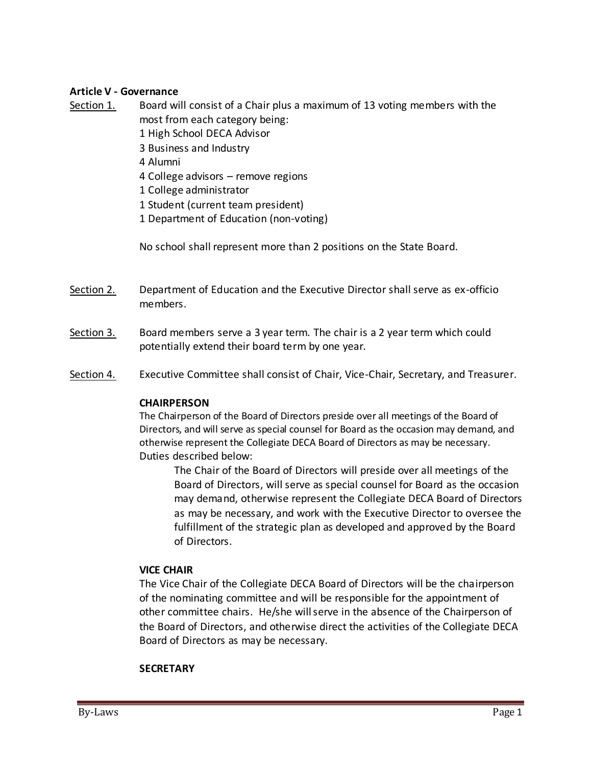## **Article V - Governance**

- Section 1. Board will consist of a Chair plus a maximum of 13 voting members with the most from each category being:
	- 1 High School DECA Advisor
	- 3 Business and Industry
	- 4 Alumni
	- 4 College advisors remove regions
	- 1 College administrator
	- 1 Student (current team president)
	- 1 Department of Education (non-voting)

No school shall represent more than 2 positions on the State Board.

- Section 2. Department of Education and the Executive Director shall serve as ex-officio members.
- Section 3. Board members serve a 3 year term. The chair is a 2 year term which could potentially extend their board term by one year.
- Section 4. Executive Committee shall consist of Chair, Vice-Chair, Secretary, and Treasurer.

#### **CHAIRPERSON**

The Chairperson of the Board of Directors preside over all meetings of the Board of Directors, and will serve as special counsel for Board as the occasion may demand, and otherwise represent the Collegiate DECA Board of Directors as may be necessary. Duties described below:

The Chair of the Board of Directors will preside over all meetings of the Board of Directors, will serve as special counsel for Board as the occasion may demand, otherwise represent the Collegiate DECA Board of Directors as may be necessary, and work with the Executive Director to oversee the fulfillment of the strategic plan as developed and approved by the Board of Directors.

#### **VICE CHAIR**

The Vice Chair of the Collegiate DECA Board of Directors will be the chairperson of the nominating committee and will be responsible for the appointment of other committee chairs. He/she will serve in the absence of the Chairperson of the Board of Directors, and otherwise direct the activities of the Collegiate DECA Board of Directors as may be necessary.

#### **SECRETARY**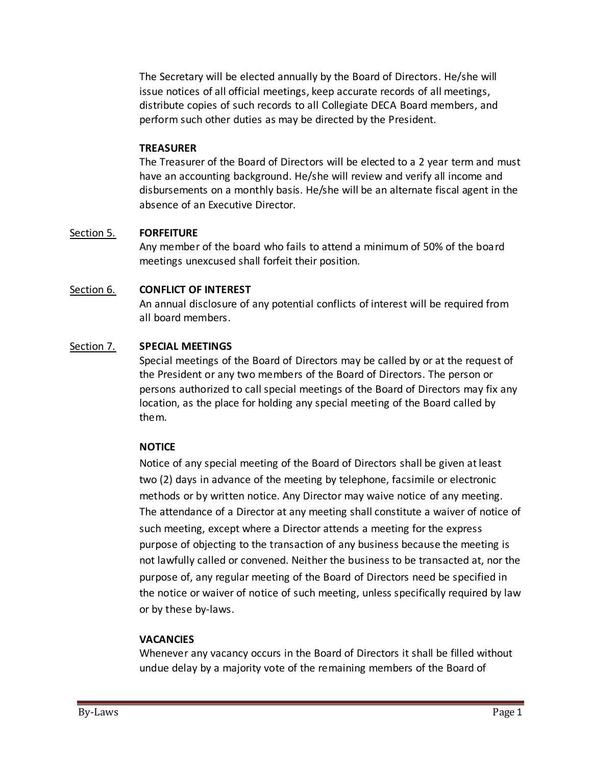The Secretary will be elected annually by the Board of Directors. He/she will issue notices of all official meetings, keep accurate records of all meetings, distribute copies of such records to all Collegiate DECA Board members, and perform such other duties as may be directed by the President.

#### **TREASURER**

The Treasurer of the Board of Directors will be elected to a 2 year term and must have an accounting background. He/she will review and verify all income and disbursements on a monthly basis. He/she will be an alternate fiscal agent in the absence of an Executive Director.

## Section 5. **FORFEITURE**

Any member of the board who fails to attend a minimum of 50% of the board meetings unexcused shall forfeit their position.

## Section 6. **CONFLICT OF INTEREST**

An annual disclosure of any potential conflicts of interest will be required from all board members.

## Section 7. **SPECIAL MEETINGS**

Special meetings of the Board of Directors may be called by or at the request of the President or any two members of the Board of Directors. The person or persons authorized to call special meetings of the Board of Directors may fix any location, as the place for holding any special meeting of the Board called by them.

## **NOTICE**

Notice of any special meeting of the Board of Directors shall be given at least two (2) days in advance of the meeting by telephone, facsimile or electronic methods or by written notice. Any Director may waive notice of any meeting. The attendance of a Director at any meeting shall constitute a waiver of notice of such meeting, except where a Director attends a meeting for the express purpose of objecting to the transaction of any business because the meeting is not lawfully called or convened. Neither the business to be transacted at, nor the purpose of, any regular meeting of the Board of Directors need be specified in the notice or waiver of notice of such meeting, unless specifically required by law or by these by-laws.

#### **VACANCIES**

Whenever any vacancy occurs in the Board of Directors it shall be filled without undue delay by a majority vote of the remaining members of the Board of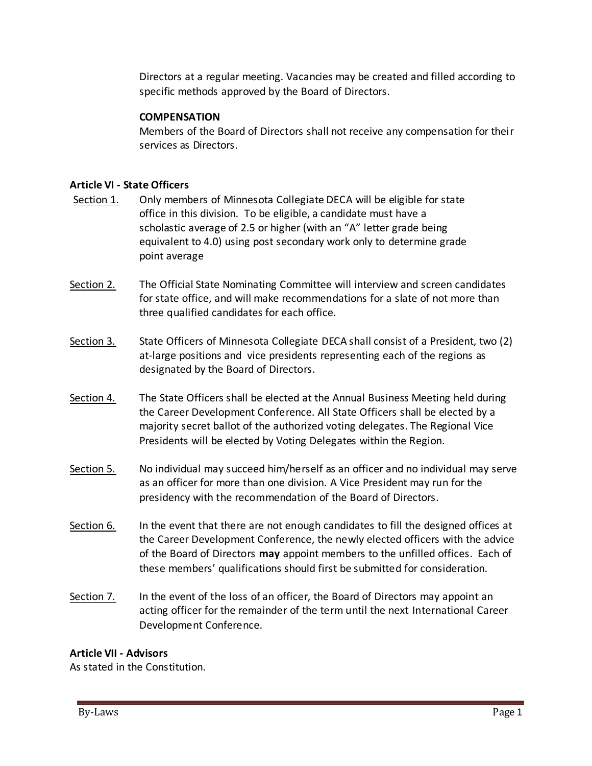Directors at a regular meeting. Vacancies may be created and filled according to specific methods approved by the Board of Directors.

# **COMPENSATION**

Members of the Board of Directors shall not receive any compensation for their services as Directors.

## **Article VI - State Officers**

- Section 1. Only members of Minnesota Collegiate DECA will be eligible for state office in this division. To be eligible, a candidate must have a scholastic average of 2.5 or higher (with an "A" letter grade being equivalent to 4.0) using post secondary work only to determine grade point average
- Section 2. The Official State Nominating Committee will interview and screen candidates for state office, and will make recommendations for a slate of not more than three qualified candidates for each office.
- Section 3. State Officers of Minnesota Collegiate DECA shall consist of a President, two (2) at-large positions and vice presidents representing each of the regions as designated by the Board of Directors.
- Section 4. The State Officers shall be elected at the Annual Business Meeting held during the Career Development Conference. All State Officers shall be elected by a majority secret ballot of the authorized voting delegates. The Regional Vice Presidents will be elected by Voting Delegates within the Region.
- Section 5. No individual may succeed him/herself as an officer and no individual may serve as an officer for more than one division. A Vice President may run for the presidency with the recommendation of the Board of Directors.
- Section 6. In the event that there are not enough candidates to fill the designed offices at the Career Development Conference, the newly elected officers with the advice of the Board of Directors **may** appoint members to the unfilled offices. Each of these members' qualifications should first be submitted for consideration.
- Section 7. In the event of the loss of an officer, the Board of Directors may appoint an acting officer for the remainder of the term until the next International Career Development Conference.

## **Article VII - Advisors**

As stated in the Constitution.